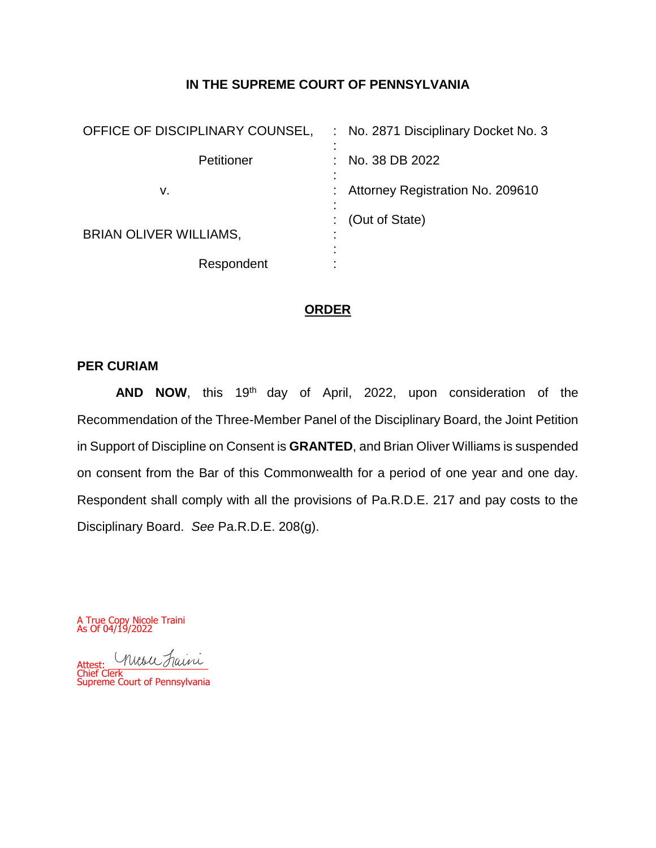# **IN THE SUPREME COURT OF PENNSYLVANIA**

| OFFICE OF DISCIPLINARY COUNSEL, | No. 2871 Disciplinary Docket No. 3 |
|---------------------------------|------------------------------------|
| Petitioner                      | No. 38 DB 2022                     |
| v.                              | Attorney Registration No. 209610   |
| <b>BRIAN OLIVER WILLIAMS,</b>   | (Out of State)<br>٠                |
| Respondent                      | ٠                                  |

# **ORDER**

# **PER CURIAM**

AND NOW, this 19<sup>th</sup> day of April, 2022, upon consideration of the Recommendation of the Three-Member Panel of the Disciplinary Board, the Joint Petition in Support of Discipline on Consent is **GRANTED**, and Brian Oliver Williams is suspended on consent from the Bar of this Commonwealth for a period of one year and one day. Respondent shall comply with all the provisions of Pa.R.D.E. 217 and pay costs to the Disciplinary Board. *See* Pa.R.D.E. 208(g).

A True Copy Nicole Traini As Of 04/19/2022

Attest: Musu Faini Chief Clerk Supreme Court of Pennsylvania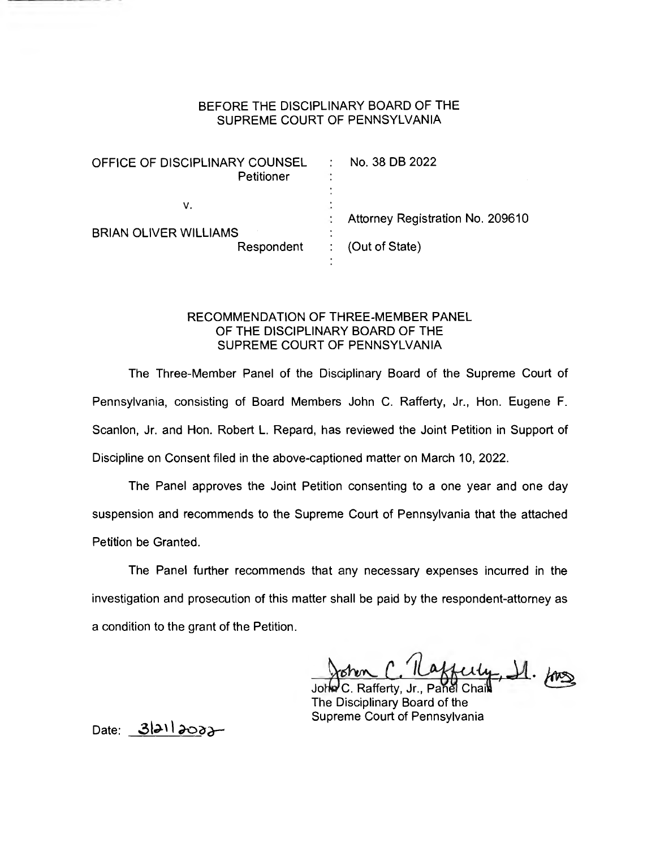| OFFICE OF DISCIPLINARY COUNSEL<br>Petitioner | No. 38 DB 2022                   |
|----------------------------------------------|----------------------------------|
| ν.<br><b>BRIAN OLIVER WILLIAMS</b>           | Attorney Registration No. 209610 |
| Respondent                                   | (Out of State)                   |

## RECOMMENDATION OF THREE-MEMBER PANEL OF THE DISCIPLINARY BOARD OF THE SUPREME COURT OF PENNSYLVANIA

The Three-Member Panel of the Disciplinary Board of the Supreme Court of Pennsylvania, consisting of Board Members John C. Rafferty, Jr., Hon. Eugene F. Scanlon, Jr. and Hon. Robert L. Repard, has reviewed the Joint Petition in Support of Discipline on Consent filed in the above-captioned matter on March 10, 2022.

The Panel approves the Joint Petition consenting to a one year and one day suspension and recommends to the Supreme Court of Pennsylvania that the attached Petition be Granted.

The Panel further recommends that any necessary expenses incurred in the investigation and prosecution of this matter shall be paid by the respondent-attorney as a condition to the grant of the Petition.

C'Hafferty, 11. fors

John C. Rafferty, Jr., Panel Chai The Disciplinary Board of the Supreme Court of Pennsylvania

Date:  $3|21|2002-$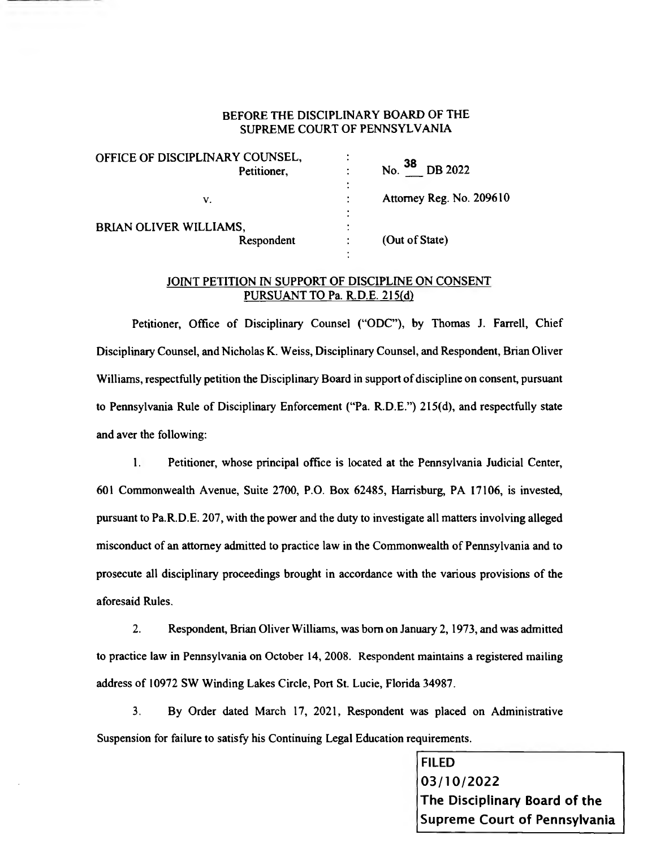| OFFICE OF DISCIPLINARY COUNSEL,<br>Petitioner, | ٠<br>$\bullet$<br>$N0$ . 38<br><b>DB</b> 2022<br>٠<br>٠ |
|------------------------------------------------|---------------------------------------------------------|
| ٧.                                             | $\bullet$<br>Attorney Reg. No. 209610<br>٠              |
| BRIAN OLIVER WILLIAMS,<br>Respondent           | ۰<br>٠<br>(Out of State)                                |

## JOINT PETITION IN SUPPORT OF DISCIPLINE ON CONSENT PURSUANT TO Pa. R.D.E. 215(d)

Petitioner, Office of Disciplinary Counsel ("ODC"), by Thomas J. Farrell, Chief Disciplinary Counsel, and Nicholas K. Weiss, Disciplinary Counsel, and Respondent, Brian Oliver Williams, respectfully petition the Disciplinary Board in support of discipline on consent, pursuant to Pennsylvania Rule of Disciplinary Enforcement ("Pa. R.D.E.") 215(d), and respectfully state and aver the following:

1. Petitioner, whose principal office is located at the Pennsylvania Judicial Center, 601 Commonwealth Avenue, Suite 2700, P.O. Box 62485, Harrisburg, PA 17106, is invested, pursuant to Pa.R.D.E. 207, with the power and the duty to investigate all matters involving alleged misconduct of an attorney admitted to practice law in the Commonwealth of Pennsylvania and to prosecute all disciplinary proceedings brought in accordance with the various provisions of the aforesaid Rules.

2. Respondent, Brian Oliver Williams, was born on January 2, 1973, and was admitted to practice law in Pennsylvania on October 14, 2008. Respondent maintains a registered mailing address of 10972 SW Winding Lakes Circle, Port St. Lucie, Florida 34987.

3. By Order dated March 17, 2021, Respondent was placed on Administrative Suspension for failure to satisfy his Continuing Legal Education requirements.

> FILED 03/10/2022 The Disciplinary Board of the Supreme Court of Pennsylvania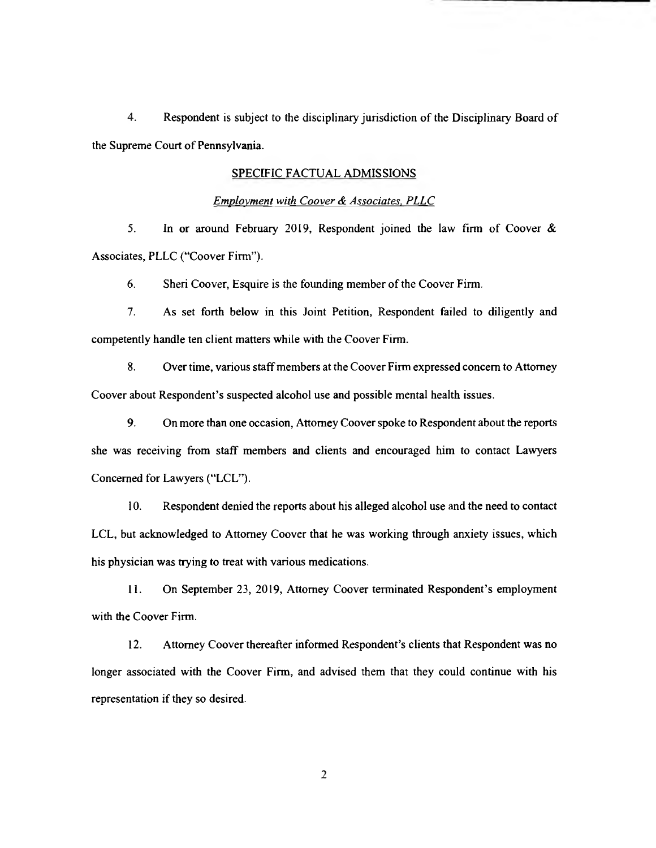4. Respondent is subject to the disciplinary jurisdiction of the Disciplinary Board of the Supreme Court of Pennsylvania.

#### SPECIFIC FACTUAL ADMISSIONS

#### Employment with Coover & Associates, PLLC

5. In or around February 2019, Respondent joined the law firm of Coover & Associates, PLLC ("Coover Firm").

6. Sheri Coover, Esquire is the founding member of the Coover Firm.

7. As set forth below in this Joint Petition, Respondent failed to diligently and competently handle ten client matters while with the Coover Firm.

8. Over time, various staff members at the Coover Firm expressed concern to Attorney Coover about Respondent's suspected alcohol use and possible mental health issues.

9. On more than one occasion, Attorney Coover spoke to Respondent about the reports she was receiving from staff members and clients and encouraged him to contact Lawyers Concerned for Lawyers ("LCL").

10. Respondent denied the reports about his alleged alcohol use and the need to contact LCL, but acknowledged to Attorney Coover that he was working through anxiety issues, which his physician was trying to treat with various medications.

11. On September 23, 2019, Attorney Coover terminated Respondent's employment with the Coover Firm.

12. Attorney Coover thereafter informed Respondent's clients that Respondent was no longer associated with the Coover Firm, and advised them that they could continue with his representation if they so desired.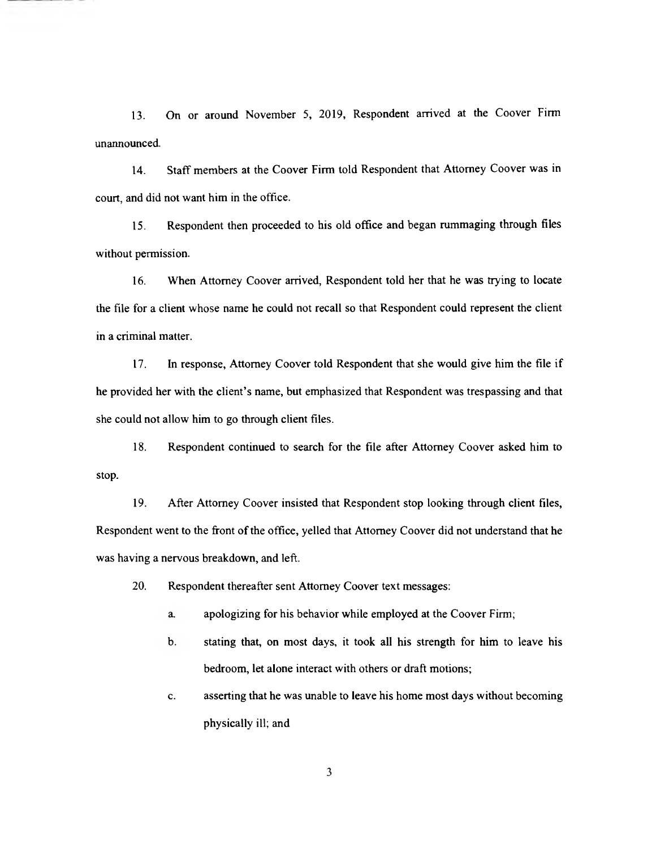13. On or around November 5, 2019, Respondent arrived at the Coover Firm unannounced.

14. Staff members at the Coover Firm told Respondent that Attorney Coover was in court, and did not want him in the office.

15. Respondent then proceeded to his old office and began rummaging through files without permission.

16. When Attorney Coover arrived, Respondent told her that he was trying to locate the file for a client whose name he could not recall so that Respondent could represent the client in a criminal matter.

17. In response, Attorney Coover told Respondent that she would give him the file if he provided her with the client's name, but emphasized that Respondent was trespassing and that she could not allow him to go through client files.

18. Respondent continued to search for the file after Attorney Coover asked him to stop.

19. After Attorney Coover insisted that Respondent stop looking through client files, Respondent went to the front of the office, yelled that Attorney Coover did not understand that he was having a nervous breakdown, and left.

20. Respondent thereafter sent Attorney Coover text messages:

- a. apologizing for his behavior while employed at the Coover Firm;
- b. stating that, on most days, it took all his strength for him to leave his bedroom, let alone interact with others or draft motions;
- C. asserting that he was unable to leave his home most days without becoming physically ill; and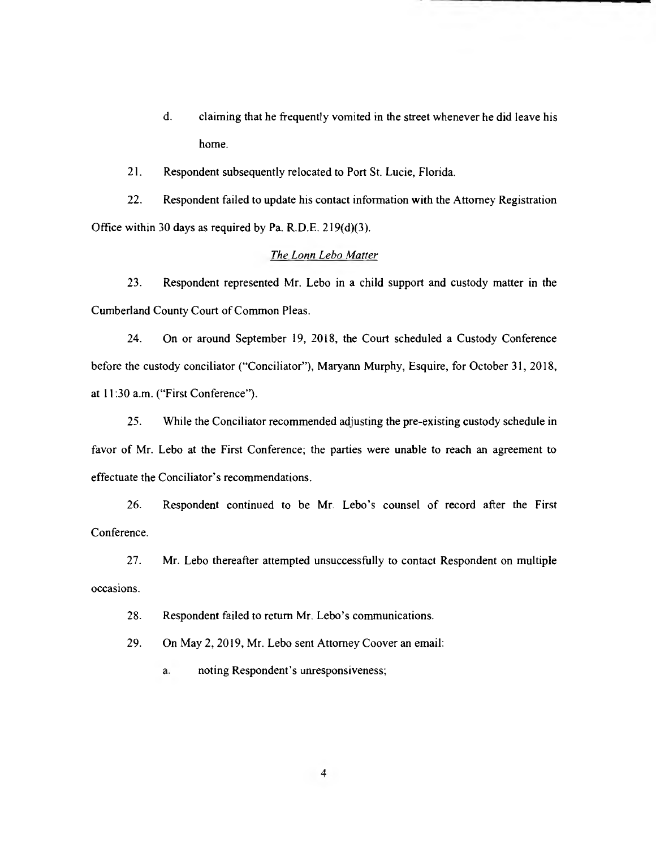- d. claiming that he frequently vomited in the street whenever he did leave his home.
- 21. Respondent subsequently relocated to Port St. Lucie, Florida.

22. Respondent failed to update his contact information with the Attorney Registration Office within 30 days as required by Pa. R.D.E. 219(d)(3).

### The Lonn Lebo Matter

23. Respondent represented Mr. Lebo in a child support and custody matter in the Cumberland County Court of Common Pleas.

24. On or around September 19, 2018, the Court scheduled a Custody Conference before the custody conciliator ("Conciliator"), Maryann Murphy, Esquire, for October 31, 2018, at 11:30 a.m. ("First Conference").

25. While the Conciliator recommended adjusting the pre-existing custody schedule in favor of Mr. Lebo at the First Conference; the parties were unable to reach an agreement to effectuate the Conciliator's recommendations.

26. Respondent continued to be Mr. Lebo's counsel of record after the First Conference.

27. Mr. Lebo thereafter attempted unsuccessfully to contact Respondent on multiple occasions.

28. Respondent failed to return Mr. Lebo's communications.

29. On May 2, 2019, Mr. Lebo sent Attorney Coover an email:

a. noting Respondent's unresponsiveness;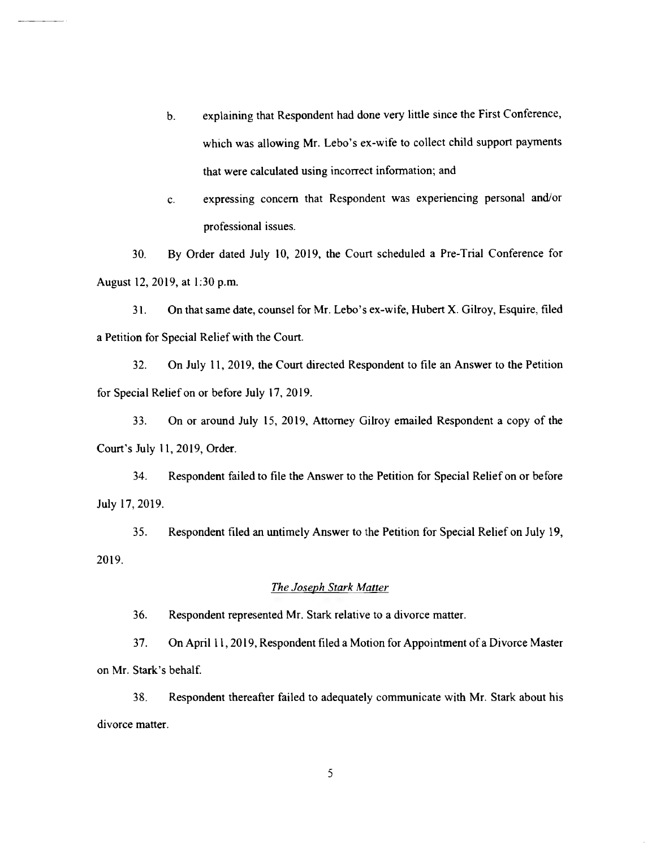- b. explaining that Respondent had done very little since the First Conference, which was allowing Mr. Lebo's ex-wife to collect child support payments that were calculated using incorrect information; and
- C. expressing concern that Respondent was experiencing personal and/or professional issues.

30. By Order dated July 10, 2019, the Court scheduled a Pre-Trial Conference for August 12, 2019, at 1:30 p.m.

31. On that same date, counsel for Mr. Lebo's ex-wife, Hubert X. Gilroy, Esquire, filed a Petition for Special Relief with the Court.

32. On July 11, 2019, the Court directed Respondent to file an Answer to the Petition for Special Relief on or before July 17, 2019.

33. On or around July 15, 2019, Attorney Gilroy emailed Respondent a copy of the Court's July 11, 2019, Order.

34. Respondent failed to file the Answer to the Petition for Special Relief on or before July 17, 2019.

35. Respondent filed an untimely Answer to the Petition for Special Relief on July 19, 2019.

## The Joseph Stark Matter

36. Respondent represented Mr. Stark relative to a divorce matter.

37. On April 11, 2019, Respondent filed a Motion for Appointment of a Divorce Master on Mr. Stark's behalf.

38. Respondent thereafter failed to adequately communicate with Mr. Stark about his divorce matter.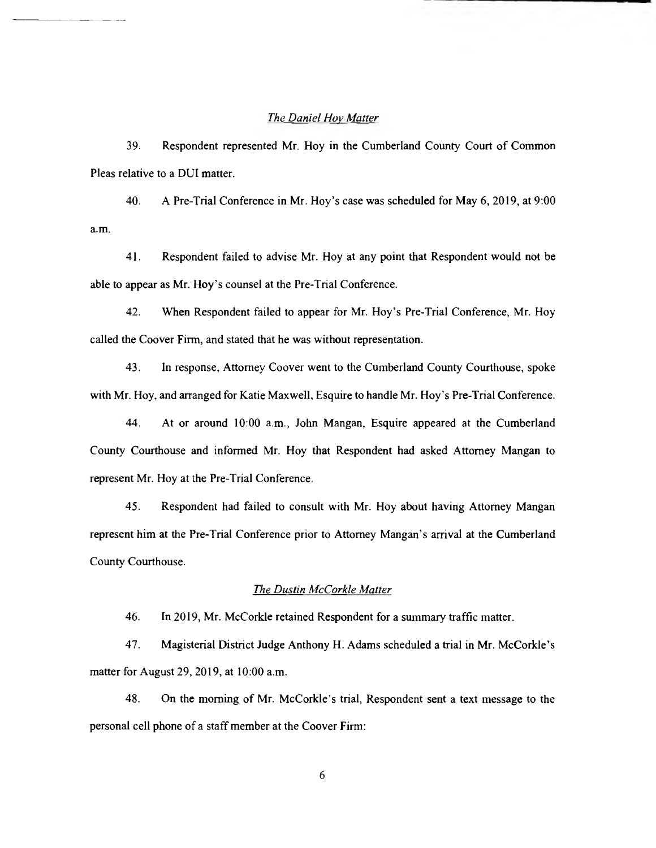### The Daniel Hoy Matter

39. Respondent represented Mr. Hoy in the Cumberland County Court of Common Pleas relative to a DUI matter.

40. A Pre-Trial Conference in Mr. Hoy's case was scheduled for May 6, 2019, at 9:00 a.m.

41. Respondent failed to advise Mr. Hoy at any point that Respondent would not be able to appear as Mr. Hoy's counsel at the Pre-Trial Conference.

42. When Respondent failed to appear for Mr. Hoy's Pre-Trial Conference, Mr. Hoy called the Coover Firm, and stated that he was without representation.

43. In response, Attorney Coover went to the Cumberland County Courthouse, spoke with Mr. Hoy, and arranged for Katie Maxwell, Esquire to handle Mr. Hoy's Pre-Trial Conference.

44. At or around 10:00 a.m., John Mangan, Esquire appeared at the Cumberland County Courthouse and informed Mr. Hoy that Respondent had asked Attorney Mangan to represent Mr. Hoy at the Pre-Trial Conference.

45. Respondent had failed to consult with Mr. Hoy about having Attorney Mangan represent him at the Pre-Trial Conference prior to Attorney Mangan's arrival at the Cumberland County Courthouse.

### The Dustin McCorkle Matter

46. In 2019, Mr. McCorkle retained Respondent for a summary traffic matter.

47. Magisterial District Judge Anthony H. Adams scheduled a trial in Mr. McCorkle's matter for August 29, 2019, at 10:00 a.m.

48. On the morning of Mr. McCorkle's trial, Respondent sent a text message to the personal cell phone of a staff member at the Coover Firm: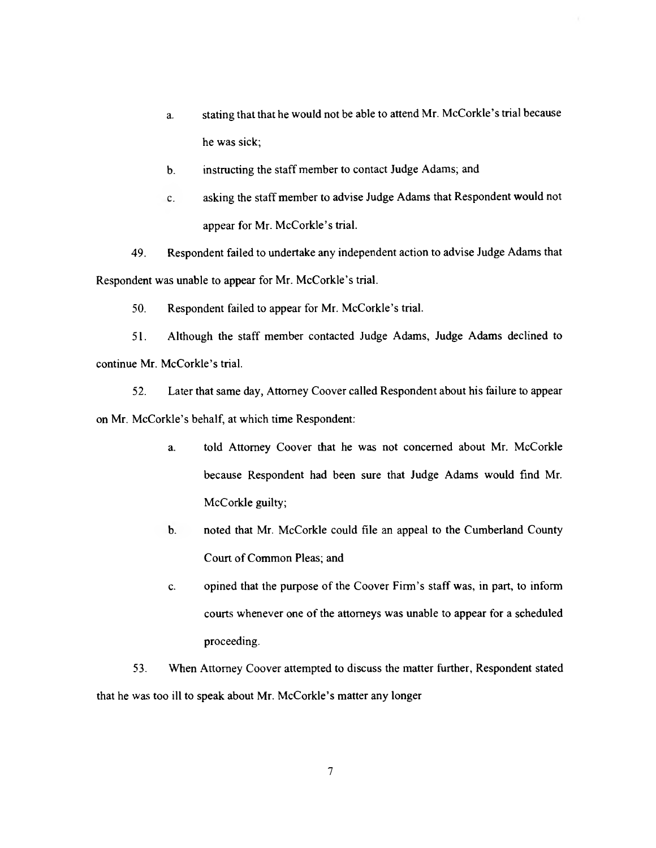- a. stating that that he would not be able to attend Mr. McCorkle's trial because he was sick;
- b. instructing the staff member to contact Judge Adams; and
- C. asking the staff member to advise Judge Adams that Respondent would not appear for Mr. McCorkle's trial.

49. Respondent failed to undertake any independent action to advise Judge Adams that Respondent was unable to appear for Mr. McCorkle's trial.

50. Respondent failed to appear for Mr. McCorkle's trial.

51. Although the staff member contacted Judge Adams, Judge Adams declined to continue Mr. McCorkle's trial.

52. Later that same day, Attorney Coover called Respondent about his failure to appear on Mr. McCorkle's behalf, at which time Respondent:

- a. told Attorney Coover that he was not concerned about Mr. McCorkle because Respondent had been sure that Judge Adams would find Mr. McCorkle guilty;
- b. noted that Mr. McCorkle could file an appeal to the Cumberland County Court of Common Pleas; and
- C. opined that the purpose of the Coover Firm's staff was, in part, to inform courts whenever one of the attorneys was unable to appear for a scheduled proceeding.

53. When Attorney Coover attempted to discuss the matter further, Respondent stated that he was too ill to speak about Mr. McCorkle's matter any longer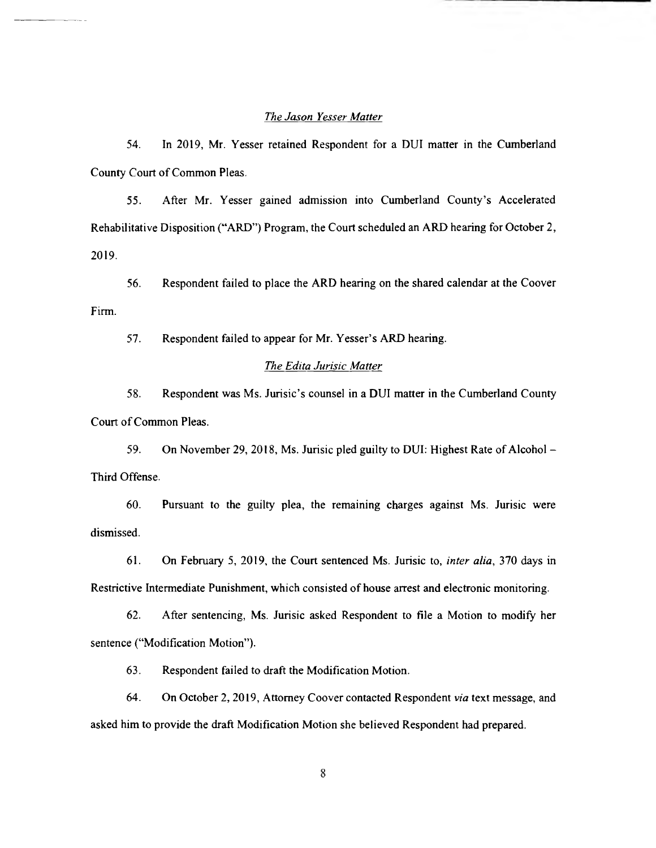#### The Jason Yesser Matter

54. In 2019, Mr. Yesser retained Respondent for a DUI matter in the Cumberland County Court of Common Pleas.

55. After Mr. Yesser gained admission into Cumberland County's Accelerated Rehabilitative Disposition ("ARD") Program, the Court scheduled an ARD hearing for October 2, 2019.

56. Respondent failed to place the ARD hearing on the shared calendar at the Coover Firm.

57. Respondent failed to appear for Mr. Yesser's ARD hearing.

### The Edita Jurisic Matter

58. Respondent was Ms. Jurisic's counsel in a DUI matter in the Cumberland County Court of Common Pleas.

59. On November 29, 2018, Ms. Jurisic pled guilty to DUI: Highest Rate of Alcohol — Third Offense.

60. Pursuant to the guilty plea, the remaining charges against Ms. Jurisic were dismissed.

61. On February 5, 2019, the Court sentenced Ms. Jurisic to, inter alia, 370 days in Restrictive Intermediate Punishment, which consisted of house arrest and electronic monitoring.

62. After sentencing, Ms. Jurisic asked Respondent to file a Motion to modify her sentence ("Modification Motion").

63. Respondent failed to draft the Modification Motion.

64. On October 2, 2019, Attorney Coover contacted Respondent via text message, and asked him to provide the draft Modification Motion she believed Respondent had prepared.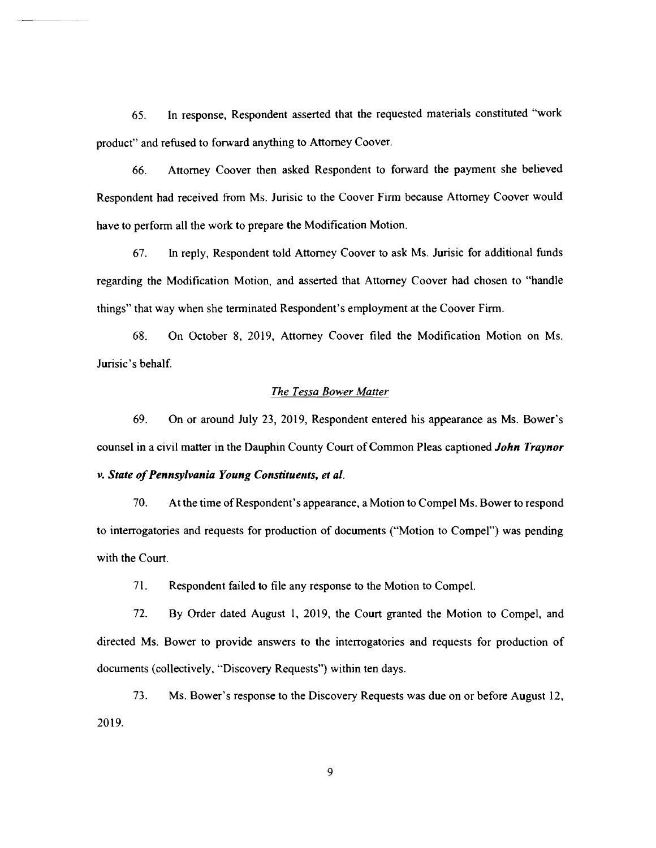65. In response, Respondent asserted that the requested materials constituted "work product" and refused to forward anything to Attorney Coover.

66. Attorney Coover then asked Respondent to forward the payment she believed Respondent had received from Ms. Jurisic to the Coover Firm because Attorney Coover would have to perform all the work to prepare the Modification Motion.

67. In reply, Respondent told Attorney Coover to ask Ms. Jurisic for additional funds regarding the Modification Motion, and asserted that Attorney Coover had chosen to "handle things" that way when she terminated Respondent's employment at the Coover Firm.

68. On October 8, 2019, Attorney Coover filed the Modification Motion on Ms. Jurisic's behalf.

#### The Tessa Bower Matter

69. On or around July 23, 2019, Respondent entered his appearance as Ms. Bower's counsel in a civil matter in the Dauphin County Court of Common Pleas captioned *John Traynor* v. State of Pennsylvania Young Constituents, et al.

70. At the time of Respondent's appearance, a Motion to Compel Ms. Bower to respond to interrogatories and requests for production of documents ("Motion to Compel") was pending with the Court.

71. Respondent failed to file any response to the Motion to Compel.

72. By Order dated August 1, 2019, the Court granted the Motion to Compel, and directed Ms. Bower to provide answers to the interrogatories and requests for production of documents (collectively, "Discovery Requests") within ten days.

73. Ms. Bower's response to the Discovery Requests was due on or before August 12, 2019.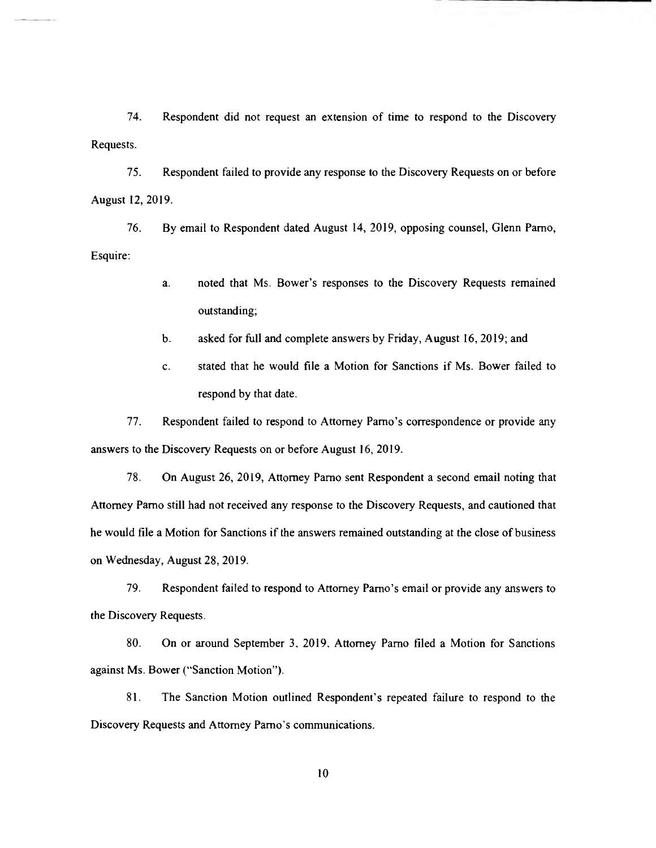74. Respondent did not request an extension of time to respond to the Discovery Requests.

75. Respondent failed to provide any response to the Discovery Requests on or before August 12, 2019.

76. By email to Respondent dated August 14, 2019, opposing counsel, Glenn Parno, Esquire:

- a. noted that Ms. Bower's responses to the Discovery Requests remained outstanding;
- b. asked for full and complete answers by Friday, August 16, 2019; and
- C. stated that he would file a Motion for Sanctions if Ms. Bower failed to respond by that date.

77. Respondent failed to respond to Attorney Parno's correspondence or provide any answers to the Discovery Requests on or before August 16, 2019.

78. On August 26, 2019, Attorney Parno sent Respondent a second email noting that Attorney Parno still had not received any response to the Discovery Requests, and cautioned that he would file a Motion for Sanctions if the answers remained outstanding at the close of business on Wednesday, August 28, 2019.

79. Respondent failed to respond to Attorney Parno's email or provide any answers to the Discovery Requests.

80. On or around September 3, 2019, Attorney Parno filed a Motion for Sanctions against Ms. Bower ("Sanction Motion").

81. The Sanction Motion outlined Respondent's repeated failure to respond to the Discovery Requests and Attorney Parno's communications.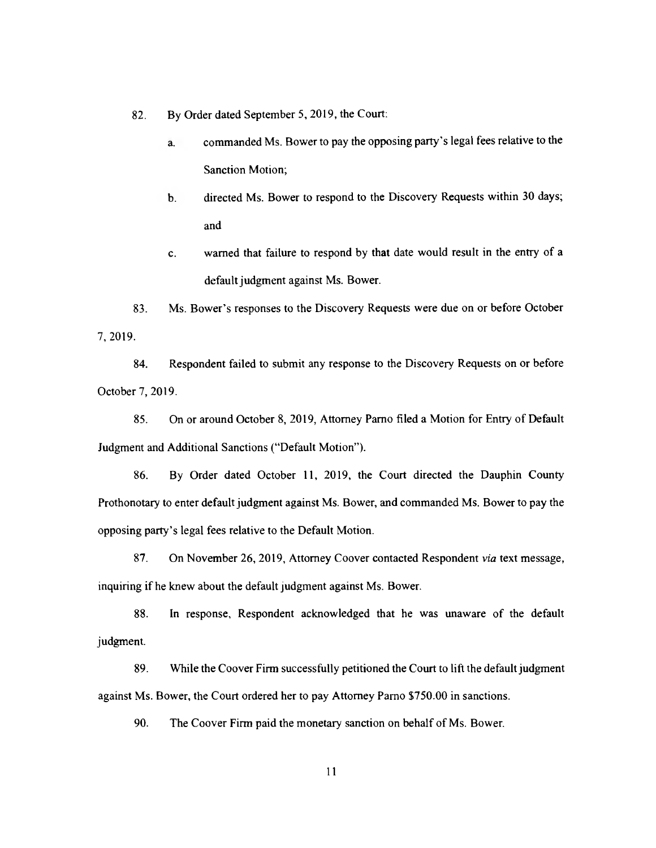82. By Order dated September 5, 2019, the Court:

- a. commanded Ms. Bower to pay the opposing party's legal fees relative to the Sanction Motion;
- b. directed Ms. Bower to respond to the Discovery Requests within 30 days; and
- C. warned that failure to respond by that date would result in the entry of a default judgment against Ms. Bower.

83. Ms. Bower's responses to the Discovery Requests were due on or before October 7, 2019.

84. Respondent failed to submit any response to the Discovery Requests on or before October 7, 2019.

85. On or around October 8, 2019, Attorney Parno filed a Motion for Entry of Default Judgment and Additional Sanctions ("Default Motion").

86. By Order dated October 11, 2019, the Court directed the Dauphin County Prothonotary to enter default judgment against Ms. Bower, and commanded Ms. Bower to pay the opposing party's legal fees relative to the Default Motion.

87. On November 26, 2019, Attorney Coover contacted Respondent via text message, inquiring if he knew about the default judgment against Ms. Bower.

88. In response, Respondent acknowledged that he was unaware of the default judgment.

89. While the Coover Firm successfully petitioned the Court to lift the default judgment against Ms. Bower, the Court ordered her to pay Attorney Parno \$750.00 in sanctions.

90. The Coover Firm paid the monetary sanction on behalf of Ms. Bower.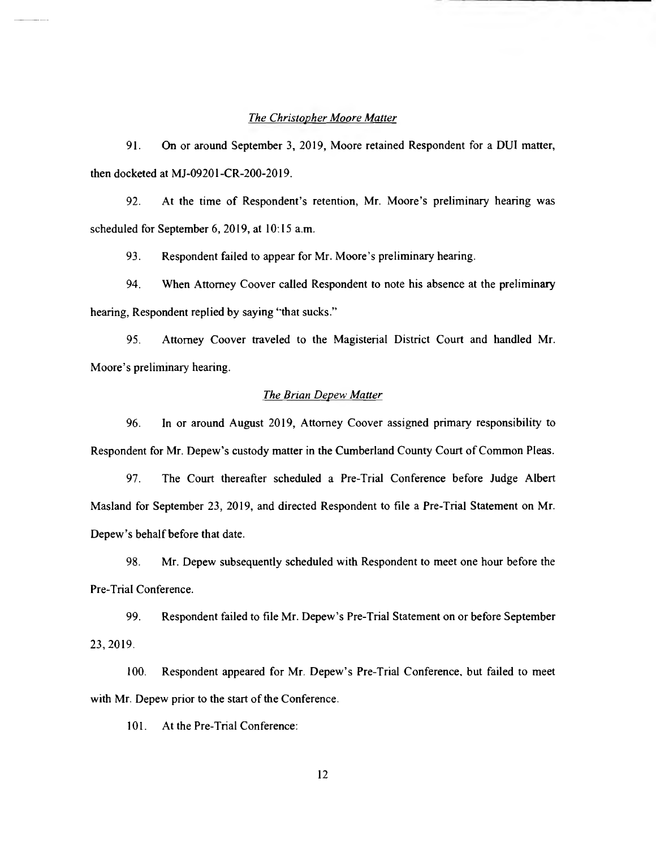#### The Christopher Moore Matter

91. On or around September 3, 2019, Moore retained Respondent for a DUI matter, then docketed at MJ-09201-CR-200-2019.

92. At the time of Respondent's retention, Mr. Moore's preliminary hearing was scheduled for September 6, 2019, at 10:15 a.m.

93. Respondent failed to appear for Mr. Moore's preliminary hearing.

94. When Attorney Coover called Respondent to note his absence at the preliminary hearing, Respondent replied by saying "that sucks."

95. Attorney Coover traveled to the Magisterial District Court and handled Mr. Moore's preliminary hearing.

### The Brian Depew Matter

96. In or around August 2019, Attorney Coover assigned primary responsibility to Respondent for Mr. Depew's custody matter in the Cumberland County Court of Common Pleas.

97. The Court thereafter scheduled a Pre-Trial Conference before Judge Albert Masland for September 23, 2019, and directed Respondent to file a Pre-Trial Statement on Mr. Depew's behalf before that date.

98. Mr. Depew subsequently scheduled with Respondent to meet one hour before the Pre-Trial Conference.

99. Respondent failed to file Mr. Depew's Pre-Trial Statement on or before September 23, 2019.

100. Respondent appeared for Mr. Depew's Pre-Trial Conference, but failed to meet with Mr. Depew prior to the start of the Conference.

101. At the Pre-Trial Conference: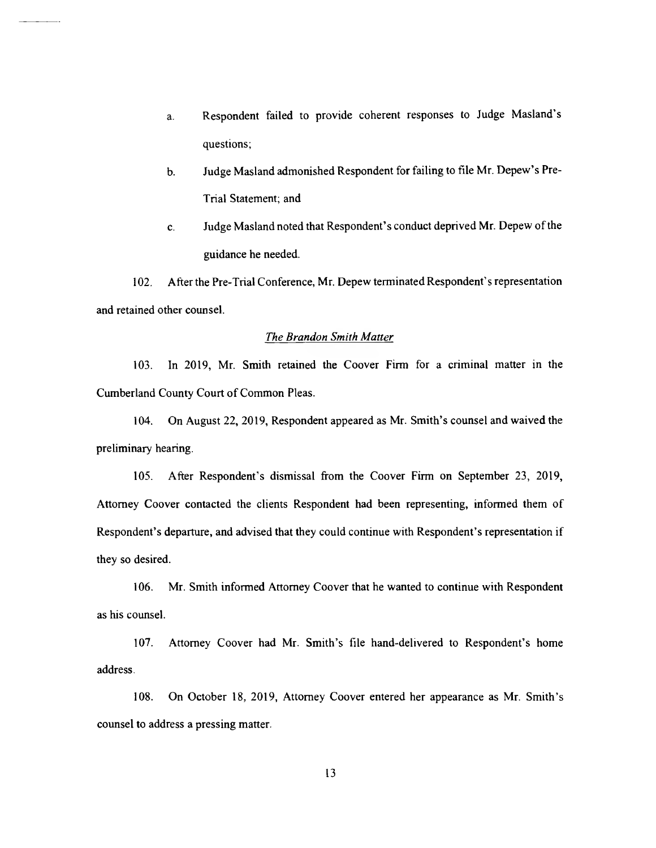- a. Respondent failed to provide coherent responses to Judge Masland's questions;
- b. Judge Masland admonished Respondent for failing to file Mr. Depew's Pre-Trial Statement; and
- C. Judge Masland noted that Respondent's conduct deprived Mr. Depew of the guidance he needed.

102. After the Pre-Trial Conference, Mr. Depew terminated Respondent's representation and retained other counsel.

#### The Brandon Smith Matter

103. In 2019, Mr. Smith retained the Coover Firm for a criminal matter in the Cumberland County Court of Common Pleas.

104. On August 22, 2019, Respondent appeared as Mr. Smith's counsel and waived the preliminary hearing.

105. After Respondent's dismissal from the Coover Firm on September 23, 2019, Attorney Coover contacted the clients Respondent had been representing, informed them of Respondent's departure, and advised that they could continue with Respondent's representation if they so desired.

106. Mr. Smith informed Attorney Coover that he wanted to continue with Respondent as his counsel.

107. Attorney Coover had Mr. Smith's file hand-delivered to Respondent's home address.

108. On October 18, 2019, Attorney Coover entered her appearance as Mr. Smith's counsel to address a pressing matter.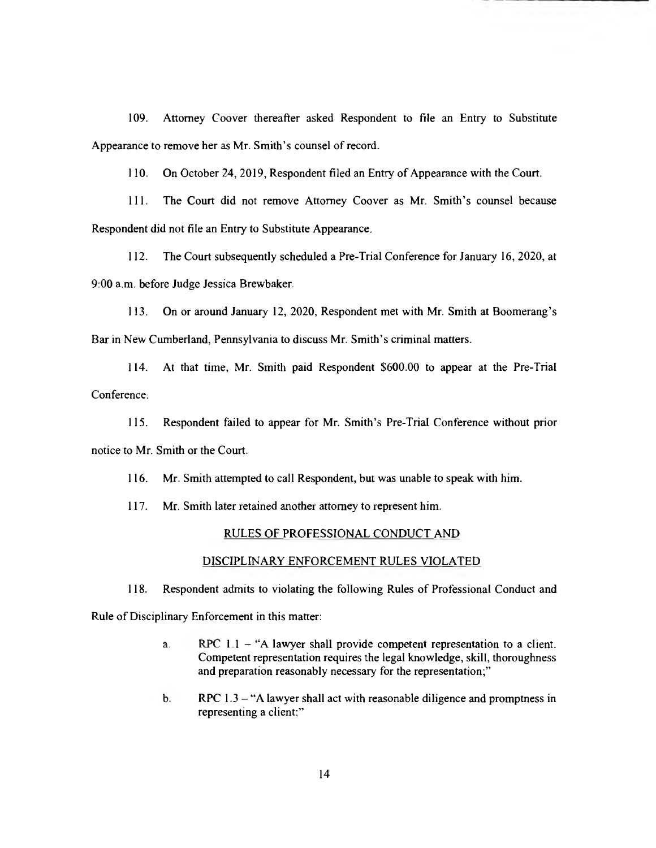109. Attorney Coover thereafter asked Respondent to file an Entry to Substitute Appearance to remove her as Mr. Smith's counsel of record.

110. On October 24, 2019, Respondent filed an Entry of Appearance with the Court.

111. The Court did not remove Attorney Coover as Mr. Smith's counsel because Respondent did not file an Entry to Substitute Appearance.

112. The Court subsequently scheduled a Pre-Trial Conference for January 16, 2020, at 9:00 a.m. before Judge Jessica Brewbaker.

113. On or around January 12, 2020, Respondent met with Mr. Smith at Boomerang's Bar in New Cumberland, Pennsylvania to discuss Mr. Smith's criminal matters.

114. At that time, Mr. Smith paid Respondent \$600.00 to appear at the Pre-Trial Conference.

115. Respondent failed to appear for Mr. Smith's Pre-Trial Conference without prior notice to Mr. Smith or the Court.

116. Mr. Smith attempted to call Respondent, but was unable to speak with him.

117. Mr. Smith later retained another attorney to represent him.

## RULES OF PROFESSIONAL CONDUCT AND

### DISCIPLINARY ENFORCEMENT RULES VIOLATED

118. Respondent admits to violating the following Rules of Professional Conduct and

Rule of Disciplinary Enforcement in this matter:

- a. RPC 1.1 "A lawyer shall provide competent representation to a client. Competent representation requires the legal knowledge, skill, thoroughness and preparation reasonably necessary for the representation;"
- b. RPC 1.3 "A lawyer shall act with reasonable diligence and promptness in representing a client:"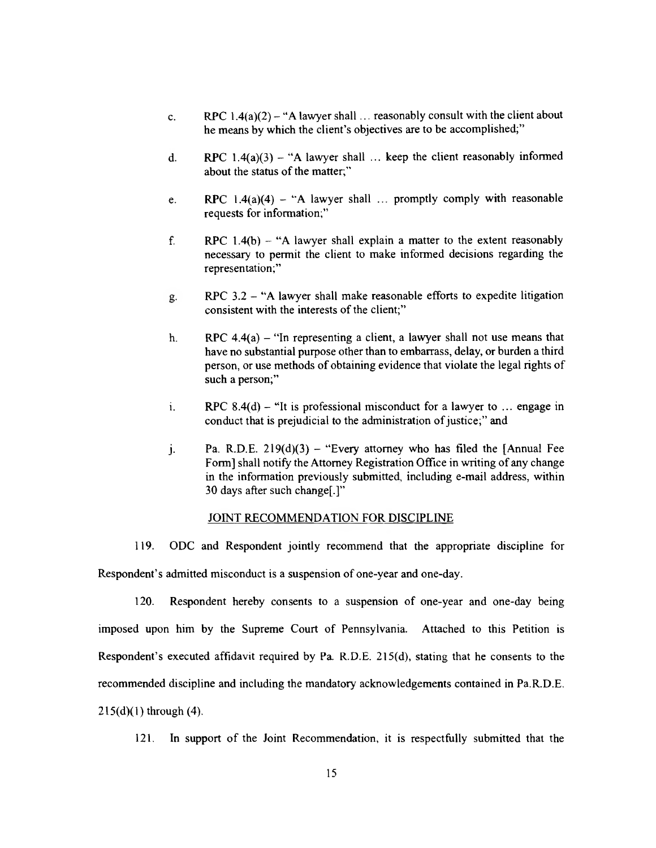- c. RPC  $1.4(a)(2)$  "A lawyer shall ... reasonably consult with the client about he means by which the client's objectives are to be accomplished;"
- d. RPC  $1.4(a)(3) -$  "A lawyer shall ... keep the client reasonably informed about the status of the matter;"
- e. RPC  $1.4(a)(4) A$  lawyer shall ... promptly comply with reasonable requests for information;"
- f. RPC  $1.4(b)$  "A lawyer shall explain a matter to the extent reasonably necessary to permit the client to make informed decisions regarding the representation;"
- 9. RPC 3.2 "A lawyer shall make reasonable efforts to expedite litigation consistent with the interests of the client;"
- h. RPC  $4.4(a)$  "In representing a client, a lawyer shall not use means that have no substantial purpose other than to embarrass, delay, or burden a third person, or use methods of obtaining evidence that violate the legal rights of such a person;"
- 1. RPC  $8.4(d)$  "It is professional misconduct for a lawyer to ... engage in conduct that is prejudicial to the administration of justice;" and
- j. Pa. R.D.E.  $219(d)(3)$  "Every attorney who has filed the [Annual Fee Form] shall notify the Attorney Registration Office in writing of any change in the information previously submitted, including e-mail address, within 30 days after such change[.]"

### JOINT RECOMMENDATION FOR DISCIPLINE

119. ODC and Respondent jointly recommend that the appropriate discipline for Respondent's admitted misconduct is a suspension of one-year and one-day.

120. Respondent hereby consents to a suspension of one-year and one-day being imposed upon him by the Supreme Court of Pennsylvania. Attached to this Petition is Respondent's executed affidavit required by Pa. R.D.E. 215(d), stating that he consents to the recommended discipline and including the mandatory acknowledgements contained in Pa.R.D.E. 215(d)(1) through (4).

121. In support of the Joint Recommendation, it is respectfully submitted that the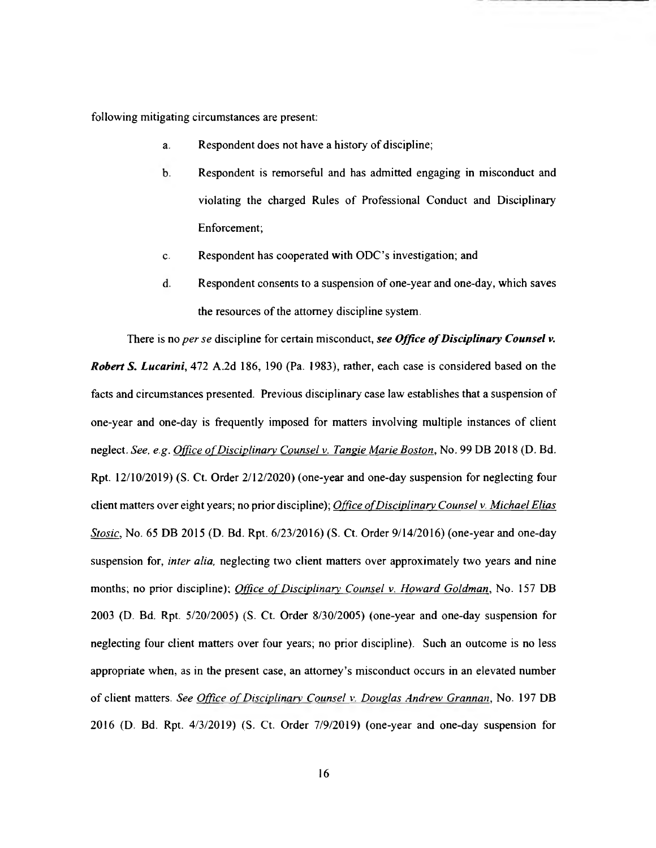following mitigating circumstances are present:

- a. Respondent does not have a history of discipline;
- b. Respondent is remorseful and has admitted engaging in misconduct and violating the charged Rules of Professional Conduct and Disciplinary Enforcement;
- C. Respondent has cooperated with ODC's investigation; and
- d. Respondent consents to a suspension of one-year and one-day, which saves the resources of the attorney discipline system.

There is no per se discipline for certain misconduct, see Office of Disciplinary Counsel v. Robert S. Lucarini, 472 A.2d 186, 190 (Pa. 1983), rather, each case is considered based on the facts and circumstances presented. Previous disciplinary case law establishes that a suspension of one-year and one-day is frequently imposed for matters involving multiple instances of client neglect. See, e.g. Office of Disciplinary Counsel v. Tangie Marie Boston, No. 99 DB 2018 (D. Bd. Rpt. 12/10/2019) (S. Ct. Order 2/12/2020) (one-year and one-day suspension for neglecting four client matters over eight years; no prior discipline); Office of Disciplinary Counsel v. Michael Elias Stosic, No. 65 DB 2015 (D. Bd. Rpt. 6/23/2016) (S. Ct. Order 9/14/2016) (one-year and one-day suspension for, *inter alia*, neglecting two client matters over approximately two years and nine months; no prior discipline); Office of Disciplinary Counsel v. Howard Goldman, No. 157 DB 2003 (D. Bd. Rpt. 5/20/2005) (S. Ct. Order 8/30/2005) (one-year and one-day suspension for neglecting four client matters over four years, no prior discipline). Such an outcome is no less appropriate when, as in the present case, an attorney's misconduct occurs in an elevated number of client matters. See Office of Disciplinary Counsel v. Douglas Andrew Grannan, No. 197 DB 2016 (D. Bd. Rpt. 4/3/2019) (S. Ct. Order 7/9/2019) (one-year and one-day suspension for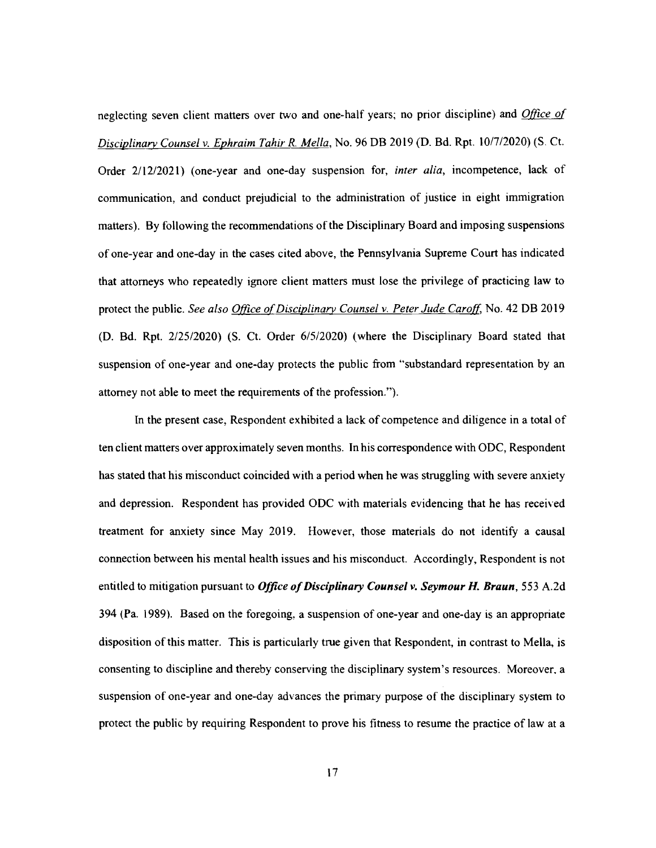neglecting seven client matters over two and one-half years; no prior discipline) and *Office of* Disciplinary Counsel v. Ephraim Tahir R. Mella, No. 96 DB 2019 (D. Bd. Rpt. 10/7/2020) (S. Ct. Order 2/12/2021) (one-year and one-day suspension for, inter alia, incompetence, lack of communication, and conduct prejudicial to the administration of justice in eight immigration matters). By following the recommendations of the Disciplinary Board and imposing suspensions of one-year and one-day in the cases cited above, the Pennsylvania Supreme Court has indicated that attorneys who repeatedly ignore client matters must lose the privilege of practicing law to protect the public. See also Office of Disciplinary Counsel v. Peter Jude Caroff, No. 42 DB 2019 (D. Bd. Rpt. 2/25/2020) (S. Ct. Order 6/5/2020) (where the Disciplinary Board stated that suspension of one-year and one-day protects the public from "substandard representation by an attorney not able to meet the requirements of the profession. ").

In the present case, Respondent exhibited a lack of competence and diligence in a total of ten client matters over approximately seven months. In his correspondence with ODC, Respondent has stated that his misconduct coincided with a period when he was struggling with severe anxiety and depression. Respondent has provided ODC with materials evidencing that he has received treatment for anxiety since May 2019. However, those materials do not identify a causal connection between his mental health issues and his misconduct. Accordingly, Respondent is not entitled to mitigation pursuant to Office of Disciplinary Counsel v. Seymour H. Braun, 553 A.2d 394 (Pa. 1989). Based on the foregoing, a suspension of one-year and one-day is an appropriate disposition of this matter. This is particularly true given that Respondent, in contrast to Mella, is consenting to discipline and thereby conserving the disciplinary system's resources. Moreover, a suspension of one-year and one-day advances the primary purpose of the disciplinary system to protect the public by requiring Respondent to prove his fitness to resume the practice of law at a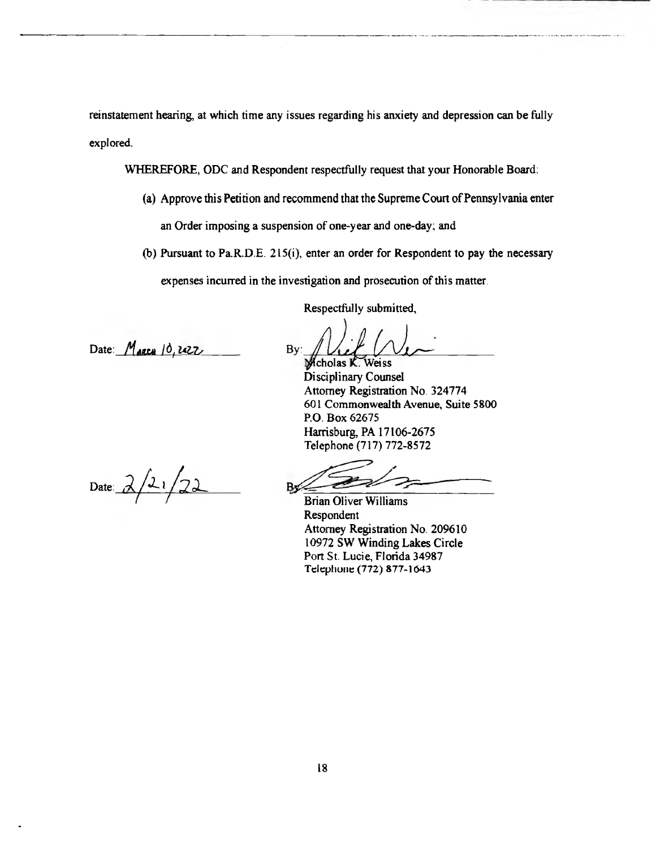reinstatement hearing, at which time any issues regarding his anxiety and depression can be fully explored.

WHEREFORE, ODC and Respondent respectfully request that your Honorable Board:

- (a) Approve this Petition and recommend that the Supreme Court of Pennsylvania enter an Order imposing a suspension of one-year and one-day; and
- (b) Pursuant to Pa.R.D.E. 215(i), enter an order for Respondent to pay the necessary expenses incurred in the investigation and prosecution of this matter.

Respectfully submitted,

Date: l ' to 16 Z4L7 By:

 $\overline{\mathbf{A}}$ Vcholas K-Weiss

Disciplinary Counsel Attorney Registration No. 324774 601 Commonwealth Avenue, Suite 5800 P.O. Box 62675 Harrisburg, PA 17106-2675 Telephone (717) 772-8572

Date:  $2/21/22$ 

Brian Oliver Williams Respondent Attorney Registration No. 209610 10972 SW Winding Lakes Circle Port St. Lucie, Florida 34987 Telephone (772) 877-1643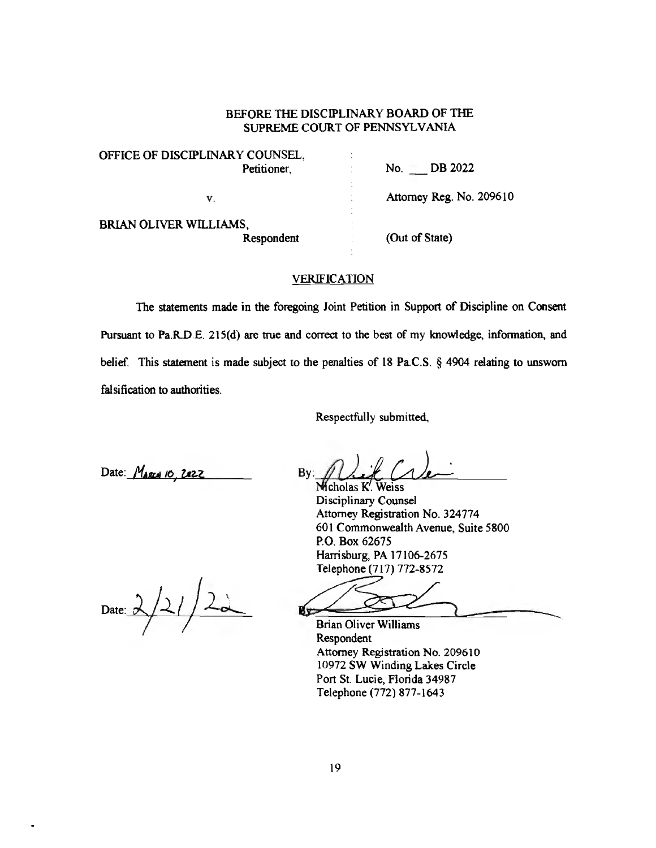OFFICE OF DISCIPLINARY COUNSEL, Petitioner, No. No. DB 2022 V. Attorney Reg. No. 209610 BRIAN OLIVER WILLIAMS, Respondent (Out of State)

### **VERIFICATION**

The statements made in the foregoing Joint Petition in Support of Discipline on Consent Pursuant to Pa.RD.E. 215(d) are true and correct to the best of my knowledge, information, and belief. This statement is made subject to the penalties of 18 Pa.C.S. § 4904 relating to unsworn falsification to authorities.

Respectfully submitted,

Date: MARCH 10, Z22

 $Bv$ :

Mcholas K'. Weiss Disciplinary Counsel Attorney Registration No. 324774 601 Commonwealth Avenue, Suite 5800 P.O. Box 62675 Harrisburg, PA 17106-2675 Telephone (717) 772-8572

Date:  $2/2/2$ 

Brian Oliver Williams

Respondent Attorney Registration No. 209610 10972 SW Winding Lakes Circle Port St. Lucie, Florida 34987 Telephone (772) 877-1643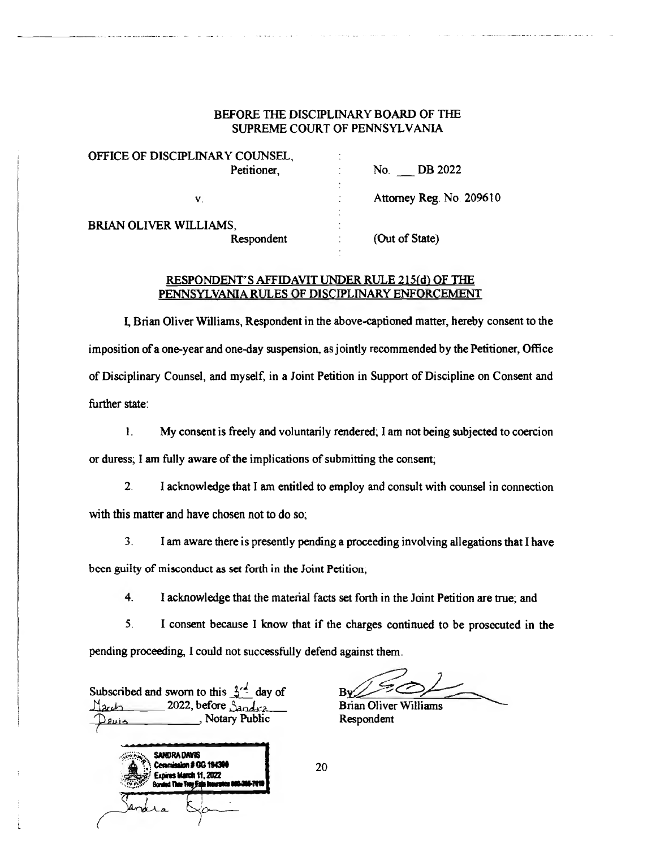| OFFICE OF DISCIPLINARY COUNSEL, | ٠<br>-                         |
|---------------------------------|--------------------------------|
| Petitioner,                     | DB 2022<br>No.<br>٠            |
| ٧.                              | Attorney Reg. No. 209610<br>-4 |
| BRIAN OLIVER WILLIAMS,          | ٠                              |
| Respondent                      | (Out of State)                 |

#### RESPONDENT'S AFFIDAVIT UNDER RULE 215{d} OF THE PENNSYLVANIA RULES OF DISCIPLINARY ENFORCEMENT

I, Brian Oliver Williams, Respondent in the above-captioned matter, hereby consent to the imposition of a one-year and one-day suspension, as jointly recommended by the Petitioner, Office of Disciplinary Counsel, and myself, in a Joint Petition in Support of Discipline on Consent and further state:

1. My consent is freely and voluntarily rendered; I am not being subjected to coercion

or duress; I am fully aware of the implications of submitting the consent;

2. I acknowledge that I am entitled to employ and consult with counsel in connection with this matter and have chosen not to do so;

3. I am aware there is presently pending a proceeding involving allegations that I have

bccn guilty of misconduct as set forth in the Joint Petition,

4. 1 acknowledge that the material facts set forth in the Joint Petition are true; and

5. I consent because I know that if the charges continued to be prosecuted in the pending proceeding, I could not successfully defend against them.

Subscribed and sworn to this  $3^{\frac{1}{2}}$  day of 2022, before  $\frac{S_{\text{2nd}}}{S_{\text{2nd}}}\$  Brian Oliver Williams Notary Public Respondent



Rν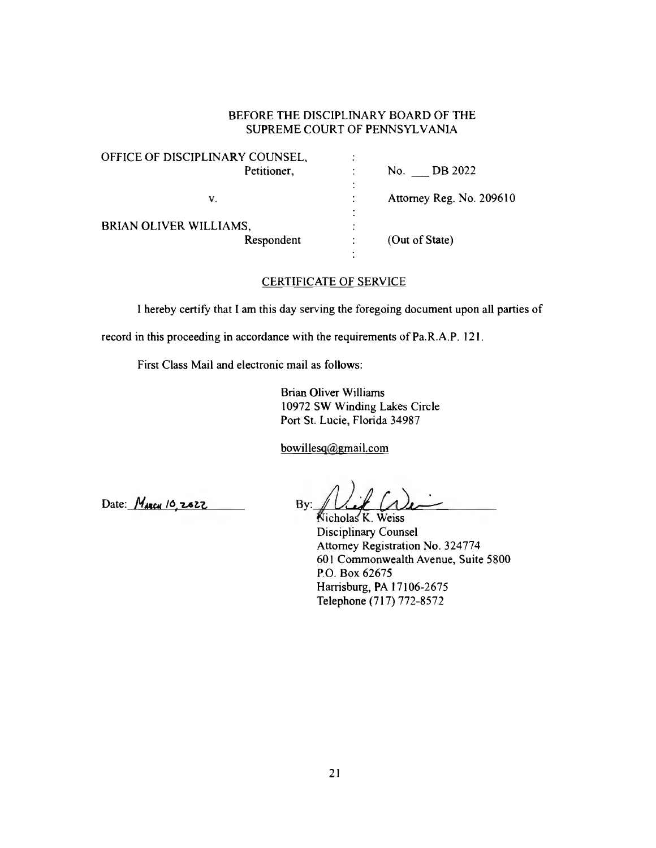| OFFICE OF DISCIPLINARY COUNSEL,      | ٠                                     |
|--------------------------------------|---------------------------------------|
| Petitioner,                          | DB 2022<br>No.                        |
| V.                                   | $\bullet$<br>Attorney Reg. No. 209610 |
| BRIAN OLIVER WILLIAMS,<br>Respondent | (Out of State)                        |
|                                      |                                       |

## CERTIFICATE OF SERVICE

I hereby certify that I am this day serving the foregoing document upon all parties of

record in this proceeding in accordance with the requirements of Pa.R.A.P. 121.

First Class Mail and electronic mail as follows:

Brian Oliver Williams 10972 SW Winding Lakes Circle Port St. Lucie, Florida 34987

bowillesq@gmail.com

Date:  $M_{ABCM}$  10, 2622 By:

icholas K. Weiss Disciplinary Counsel Attorney Registration No. 324774 601 Commonwealth Avenue, Suite 5800 P.O. Box 62675 Harrisburg, PA 17106-2675 Telephone (717) 772-8572